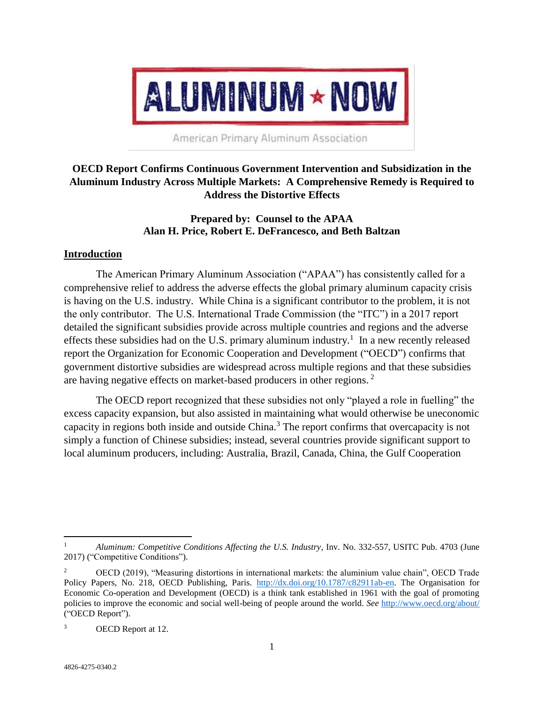

American Primary Aluminum Association

# **OECD Report Confirms Continuous Government Intervention and Subsidization in the Aluminum Industry Across Multiple Markets: A Comprehensive Remedy is Required to Address the Distortive Effects**

## **Prepared by: Counsel to the APAA Alan H. Price, Robert E. DeFrancesco, and Beth Baltzan**

## **Introduction**

The American Primary Aluminum Association ("APAA") has consistently called for a comprehensive relief to address the adverse effects the global primary aluminum capacity crisis is having on the U.S. industry. While China is a significant contributor to the problem, it is not the only contributor. The U.S. International Trade Commission (the "ITC") in a 2017 report detailed the significant subsidies provide across multiple countries and regions and the adverse effects these subsidies had on the U.S. primary aluminum industry.<sup>1</sup> In a new recently released report the Organization for Economic Cooperation and Development ("OECD") confirms that government distortive subsidies are widespread across multiple regions and that these subsidies are having negative effects on market-based producers in other regions.<sup>2</sup>

The OECD report recognized that these subsidies not only "played a role in fuelling" the excess capacity expansion, but also assisted in maintaining what would otherwise be uneconomic capacity in regions both inside and outside China.<sup>3</sup> The report confirms that overcapacity is not simply a function of Chinese subsidies; instead, several countries provide significant support to local aluminum producers, including: Australia, Brazil, Canada, China, the Gulf Cooperation

 $\overline{a}$ 

<sup>1</sup> *Aluminum: Competitive Conditions Affecting the U.S. Industry*, Inv. No. 332-557, USITC Pub. 4703 (June 2017) ("Competitive Conditions").

<sup>&</sup>lt;sup>2</sup> OECD (2019), "Measuring distortions in international markets: the aluminium value chain", OECD Trade Policy Papers, No. 218, OECD Publishing, Paris. [http://dx.doi.org/10.1787/c82911ab-en.](http://dx.doi.org/10.1787/c82911ab-en) The Organisation for Economic Co-operation and Development (OECD) is a think tank established in 1961 with the goal of promoting policies to improve the economic and social well-being of people around the world. *See* <http://www.oecd.org/about/> ("OECD Report").

<sup>3</sup> OECD Report at 12.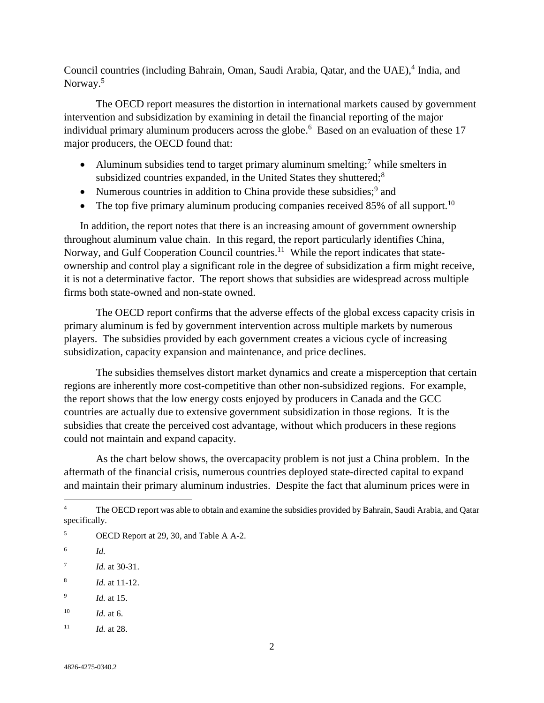Council countries (including Bahrain, Oman, Saudi Arabia, Qatar, and the UAE), 4 India, and Norway. 5

The OECD report measures the distortion in international markets caused by government intervention and subsidization by examining in detail the financial reporting of the major individual primary aluminum producers across the globe. 6 Based on an evaluation of these 17 major producers, the OECD found that:

- Aluminum subsidies tend to target primary aluminum smelting;<sup>7</sup> while smelters in subsidized countries expanded, in the United States they shuttered;<sup>8</sup>
- Numerous countries in addition to China provide these subsidies;<sup>9</sup> and
- The top five primary aluminum producing companies received 85% of all support.<sup>10</sup>

In addition, the report notes that there is an increasing amount of government ownership throughout aluminum value chain. In this regard, the report particularly identifies China, Norway, and Gulf Cooperation Council countries.<sup>11</sup> While the report indicates that stateownership and control play a significant role in the degree of subsidization a firm might receive, it is not a determinative factor. The report shows that subsidies are widespread across multiple firms both state-owned and non-state owned.

The OECD report confirms that the adverse effects of the global excess capacity crisis in primary aluminum is fed by government intervention across multiple markets by numerous players. The subsidies provided by each government creates a vicious cycle of increasing subsidization, capacity expansion and maintenance, and price declines.

The subsidies themselves distort market dynamics and create a misperception that certain regions are inherently more cost-competitive than other non-subsidized regions. For example, the report shows that the low energy costs enjoyed by producers in Canada and the GCC countries are actually due to extensive government subsidization in those regions. It is the subsidies that create the perceived cost advantage, without which producers in these regions could not maintain and expand capacity.

As the chart below shows, the overcapacity problem is not just a China problem. In the aftermath of the financial crisis, numerous countries deployed state-directed capital to expand and maintain their primary aluminum industries. Despite the fact that aluminum prices were in

- $10$  *Id.* at 6.
- <sup>11</sup> *Id.* at 28.

 $\overline{4}$ The OECD report was able to obtain and examine the subsidies provided by Bahrain, Saudi Arabia, and Oatar specifically.

<sup>5</sup> OECD Report at 29, 30, and Table A A-2.

<sup>6</sup> *Id.*

<sup>7</sup> *Id.* at 30-31.

<sup>8</sup> *Id.* at 11-12.

<sup>9</sup> *Id.* at 15.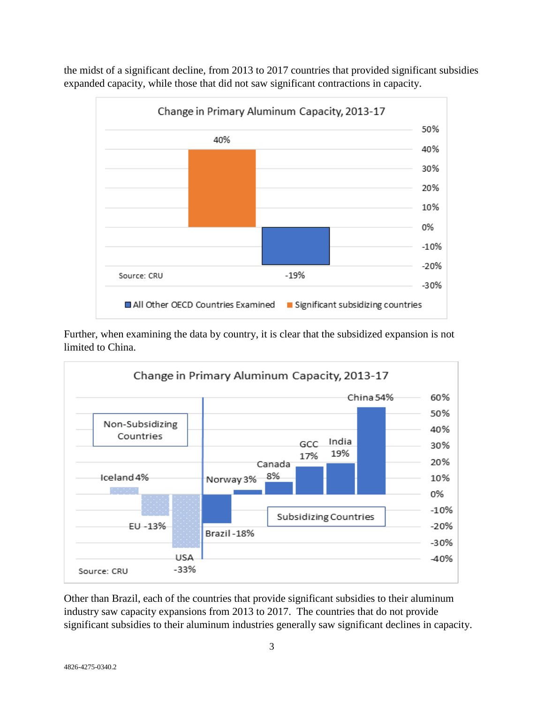the midst of a significant decline, from 2013 to 2017 countries that provided significant subsidies expanded capacity, while those that did not saw significant contractions in capacity.



Further, when examining the data by country, it is clear that the subsidized expansion is not limited to China.



Other than Brazil, each of the countries that provide significant subsidies to their aluminum industry saw capacity expansions from 2013 to 2017. The countries that do not provide significant subsidies to their aluminum industries generally saw significant declines in capacity.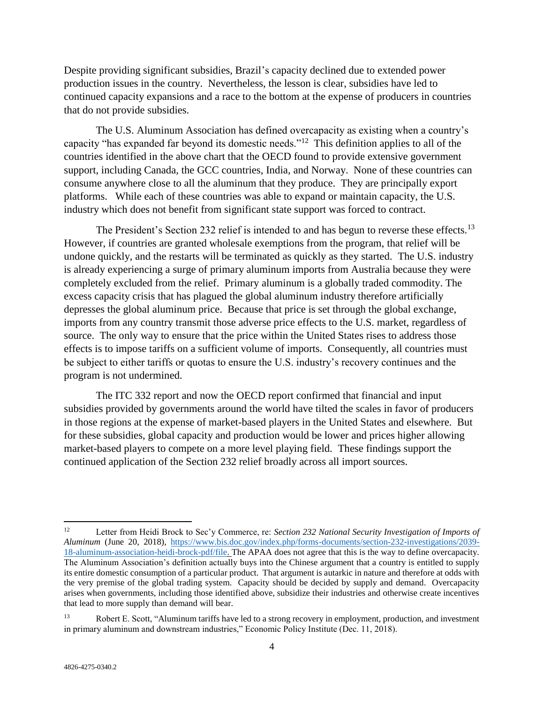Despite providing significant subsidies, Brazil's capacity declined due to extended power production issues in the country. Nevertheless, the lesson is clear, subsidies have led to continued capacity expansions and a race to the bottom at the expense of producers in countries that do not provide subsidies.

The U.S. Aluminum Association has defined overcapacity as existing when a country's capacity "has expanded far beyond its domestic needs."<sup>12</sup> This definition applies to all of the countries identified in the above chart that the OECD found to provide extensive government support, including Canada, the GCC countries, India, and Norway. None of these countries can consume anywhere close to all the aluminum that they produce. They are principally export platforms. While each of these countries was able to expand or maintain capacity, the U.S. industry which does not benefit from significant state support was forced to contract.

The President's Section 232 relief is intended to and has begun to reverse these effects.<sup>13</sup> However, if countries are granted wholesale exemptions from the program, that relief will be undone quickly, and the restarts will be terminated as quickly as they started. The U.S. industry is already experiencing a surge of primary aluminum imports from Australia because they were completely excluded from the relief. Primary aluminum is a globally traded commodity. The excess capacity crisis that has plagued the global aluminum industry therefore artificially depresses the global aluminum price. Because that price is set through the global exchange, imports from any country transmit those adverse price effects to the U.S. market, regardless of source. The only way to ensure that the price within the United States rises to address those effects is to impose tariffs on a sufficient volume of imports. Consequently, all countries must be subject to either tariffs or quotas to ensure the U.S. industry's recovery continues and the program is not undermined.

The ITC 332 report and now the OECD report confirmed that financial and input subsidies provided by governments around the world have tilted the scales in favor of producers in those regions at the expense of market-based players in the United States and elsewhere. But for these subsidies, global capacity and production would be lower and prices higher allowing market-based players to compete on a more level playing field. These findings support the continued application of the Section 232 relief broadly across all import sources.

<sup>12</sup> <sup>12</sup> Letter from Heidi Brock to Sec'y Commerce, re: *Section 232 National Security Investigation of Imports of Aluminum* (June 20, 2018), [https://www.bis.doc.gov/index.php/forms-documents/section-232-investigations/2039-](https://www.bis.doc.gov/index.php/forms-documents/section-232-investigations/2039-18-aluminum-association-heidi-brock-pdf/file) [18-aluminum-association-heidi-brock-pdf/file.](https://www.bis.doc.gov/index.php/forms-documents/section-232-investigations/2039-18-aluminum-association-heidi-brock-pdf/file) The APAA does not agree that this is the way to define overcapacity. The Aluminum Association's definition actually buys into the Chinese argument that a country is entitled to supply its entire domestic consumption of a particular product. That argument is autarkic in nature and therefore at odds with the very premise of the global trading system. Capacity should be decided by supply and demand. Overcapacity arises when governments, including those identified above, subsidize their industries and otherwise create incentives that lead to more supply than demand will bear.

<sup>13</sup> Robert E. Scott, "Aluminum tariffs have led to a strong recovery in employment, production, and investment in primary aluminum and downstream industries," Economic Policy Institute (Dec. 11, 2018).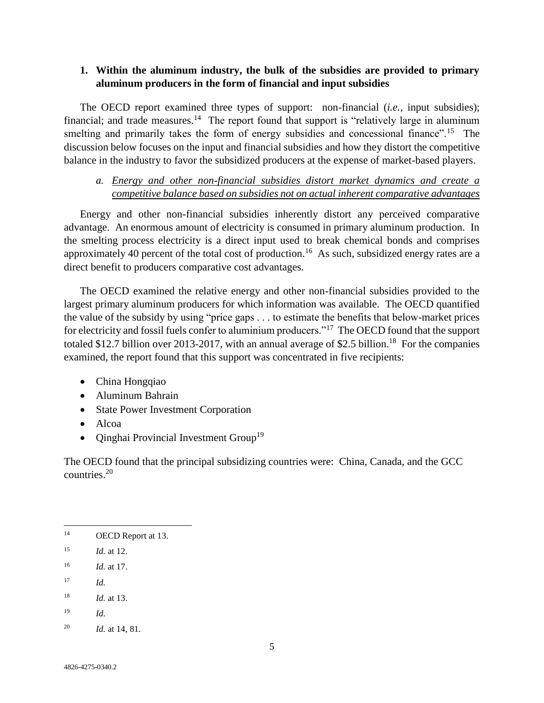## **1. Within the aluminum industry, the bulk of the subsidies are provided to primary aluminum producers in the form of financial and input subsidies**

The OECD report examined three types of support: non-financial (*i.e.*, input subsidies); financial; and trade measures.<sup>14</sup> The report found that support is "relatively large in aluminum smelting and primarily takes the form of energy subsidies and concessional finance".<sup>15</sup> The discussion below focuses on the input and financial subsidies and how they distort the competitive balance in the industry to favor the subsidized producers at the expense of market-based players.

## *a. Energy and other non-financial subsidies distort market dynamics and create a competitive balance based on subsidies not on actual inherent comparative advantages*

Energy and other non-financial subsidies inherently distort any perceived comparative advantage. An enormous amount of electricity is consumed in primary aluminum production. In the smelting process electricity is a direct input used to break chemical bonds and comprises approximately 40 percent of the total cost of production.<sup>16</sup> As such, subsidized energy rates are a direct benefit to producers comparative cost advantages.

The OECD examined the relative energy and other non-financial subsidies provided to the largest primary aluminum producers for which information was available. The OECD quantified the value of the subsidy by using "price gaps . . . to estimate the benefits that below-market prices for electricity and fossil fuels confer to aluminium producers."<sup>17</sup> The OECD found that the support totaled \$12.7 billion over 2013-2017, with an annual average of \$2.5 billion.<sup>18</sup> For the companies examined, the report found that this support was concentrated in five recipients:

- China Hongqiao
- Aluminum Bahrain
- State Power Investment Corporation
- Alcoa
- Qinghai Provincial Investment Group<sup>19</sup>

The OECD found that the principal subsidizing countries were: China, Canada, and the GCC countries. $20$ 

 $\overline{\phantom{a}}$ <sup>14</sup> OECD Report at 13.

<sup>15</sup> *Id.* at 12.

<sup>16</sup> *Id.* at 17.

<sup>17</sup> *Id.*

<sup>18</sup> *Id.* at 13.

<sup>19</sup> *Id.*

<sup>20</sup> *Id.* at 14, 81.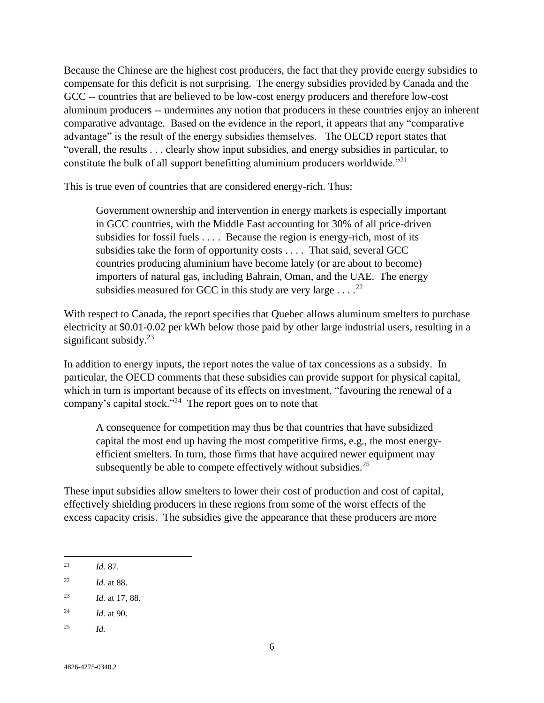Because the Chinese are the highest cost producers, the fact that they provide energy subsidies to compensate for this deficit is not surprising. The energy subsidies provided by Canada and the GCC -- countries that are believed to be low-cost energy producers and therefore low-cost aluminum producers -- undermines any notion that producers in these countries enjoy an inherent comparative advantage. Based on the evidence in the report, it appears that any "comparative advantage" is the result of the energy subsidies themselves. The OECD report states that "overall, the results . . . clearly show input subsidies, and energy subsidies in particular, to constitute the bulk of all support benefitting aluminium producers worldwide."<sup>21</sup>

This is true even of countries that are considered energy-rich. Thus:

Government ownership and intervention in energy markets is especially important in GCC countries, with the Middle East accounting for 30% of all price-driven subsidies for fossil fuels .... Because the region is energy-rich, most of its subsidies take the form of opportunity costs .... That said, several GCC countries producing aluminium have become lately (or are about to become) importers of natural gas, including Bahrain, Oman, and the UAE. The energy subsidies measured for GCC in this study are very large  $\dots$ .<sup>22</sup>

With respect to Canada, the report specifies that Quebec allows aluminum smelters to purchase electricity at \$0.01-0.02 per kWh below those paid by other large industrial users, resulting in a significant subsidy.<sup>23</sup>

In addition to energy inputs, the report notes the value of tax concessions as a subsidy. In particular, the OECD comments that these subsidies can provide support for physical capital, which in turn is important because of its effects on investment, "favouring the renewal of a company's capital stock."<sup>24</sup> The report goes on to note that

A consequence for competition may thus be that countries that have subsidized capital the most end up having the most competitive firms, e.g., the most energyefficient smelters. In turn, those firms that have acquired newer equipment may subsequently be able to compete effectively without subsidies. $2<sup>5</sup>$ 

These input subsidies allow smelters to lower their cost of production and cost of capital, effectively shielding producers in these regions from some of the worst effects of the excess capacity crisis. The subsidies give the appearance that these producers are more

- <sup>24</sup> *Id.* at 90.
- <sup>25</sup> *Id.*

l <sup>21</sup> *Id.* 87.

<sup>22</sup> *Id.* at 88.

<sup>23</sup> *Id.* at 17, 88.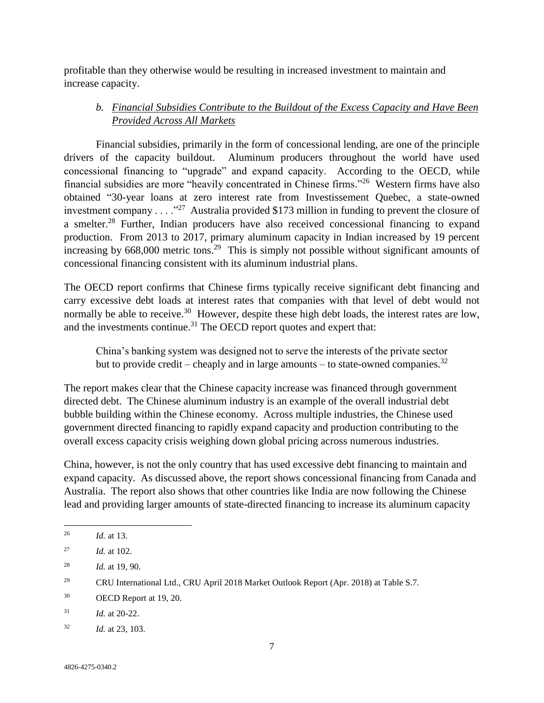profitable than they otherwise would be resulting in increased investment to maintain and increase capacity.

# *b. Financial Subsidies Contribute to the Buildout of the Excess Capacity and Have Been Provided Across All Markets*

Financial subsidies, primarily in the form of concessional lending, are one of the principle drivers of the capacity buildout. Aluminum producers throughout the world have used concessional financing to "upgrade" and expand capacity. According to the OECD, while financial subsidies are more "heavily concentrated in Chinese firms."<sup>26</sup> Western firms have also obtained "30-year loans at zero interest rate from Investissement Quebec, a state-owned investment company  $\dots$ ."<sup>27</sup> Australia provided \$173 million in funding to prevent the closure of a smelter.<sup>28</sup> Further, Indian producers have also received concessional financing to expand production. From 2013 to 2017, primary aluminum capacity in Indian increased by 19 percent increasing by 668,000 metric tons.<sup>29</sup> This is simply not possible without significant amounts of concessional financing consistent with its aluminum industrial plans.

The OECD report confirms that Chinese firms typically receive significant debt financing and carry excessive debt loads at interest rates that companies with that level of debt would not normally be able to receive.<sup>30</sup> However, despite these high debt loads, the interest rates are low, and the investments continue.<sup>31</sup> The OECD report quotes and expert that:

China's banking system was designed not to serve the interests of the private sector but to provide credit – cheaply and in large amounts – to state-owned companies.<sup>32</sup>

The report makes clear that the Chinese capacity increase was financed through government directed debt. The Chinese aluminum industry is an example of the overall industrial debt bubble building within the Chinese economy. Across multiple industries, the Chinese used government directed financing to rapidly expand capacity and production contributing to the overall excess capacity crisis weighing down global pricing across numerous industries.

China, however, is not the only country that has used excessive debt financing to maintain and expand capacity. As discussed above, the report shows concessional financing from Canada and Australia. The report also shows that other countries like India are now following the Chinese lead and providing larger amounts of state-directed financing to increase its aluminum capacity

 $\overline{\phantom{a}}$ 

<sup>26</sup> *Id.* at 13.

<sup>27</sup> *Id.* at 102.

<sup>28</sup> *Id.* at 19, 90.

<sup>29</sup> CRU International Ltd., CRU April 2018 Market Outlook Report (Apr. 2018) at Table S.7.

<sup>30</sup> OECD Report at 19, 20.

<sup>31</sup> *Id.* at 20-22.

<sup>32</sup> *Id.* at 23, 103.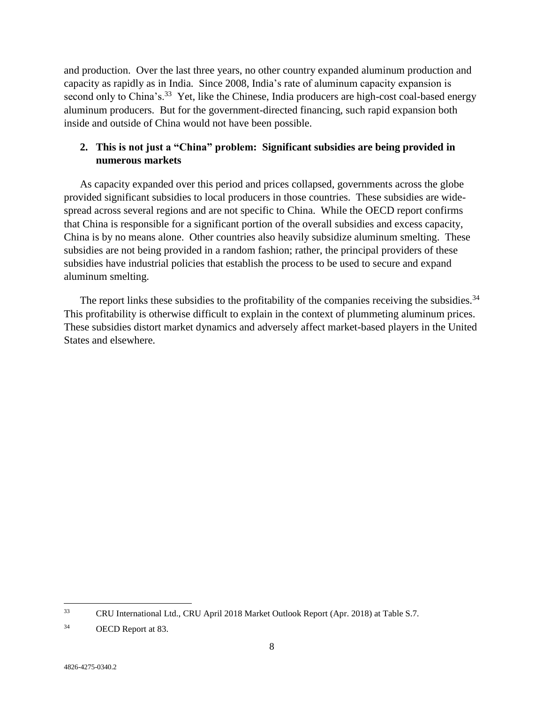and production. Over the last three years, no other country expanded aluminum production and capacity as rapidly as in India. Since 2008, India's rate of aluminum capacity expansion is second only to China's.<sup>33</sup> Yet, like the Chinese, India producers are high-cost coal-based energy aluminum producers. But for the government-directed financing, such rapid expansion both inside and outside of China would not have been possible.

# **2. This is not just a "China" problem: Significant subsidies are being provided in numerous markets**

As capacity expanded over this period and prices collapsed, governments across the globe provided significant subsidies to local producers in those countries. These subsidies are widespread across several regions and are not specific to China. While the OECD report confirms that China is responsible for a significant portion of the overall subsidies and excess capacity, China is by no means alone. Other countries also heavily subsidize aluminum smelting. These subsidies are not being provided in a random fashion; rather, the principal providers of these subsidies have industrial policies that establish the process to be used to secure and expand aluminum smelting.

The report links these subsidies to the profitability of the companies receiving the subsidies.<sup>34</sup> This profitability is otherwise difficult to explain in the context of plummeting aluminum prices. These subsidies distort market dynamics and adversely affect market-based players in the United States and elsewhere.

 $\overline{a}$ 

<sup>33</sup> CRU International Ltd., CRU April 2018 Market Outlook Report (Apr. 2018) at Table S.7.

<sup>34</sup> OECD Report at 83.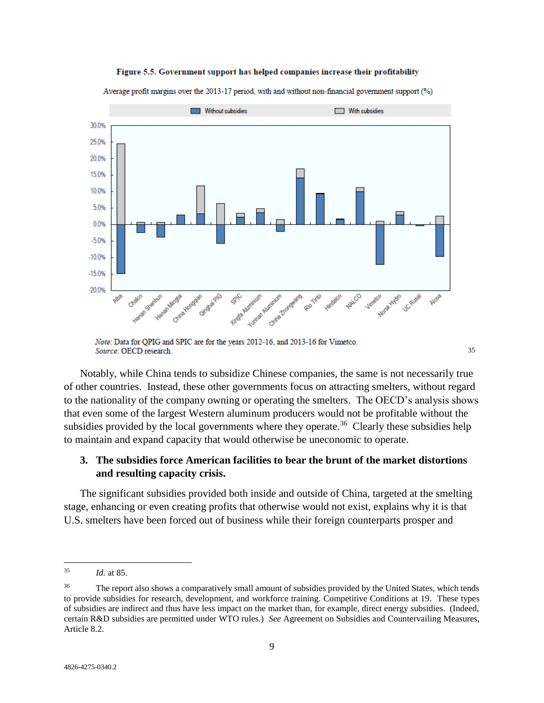#### Figure 5.5. Government support has helped companies increase their profitability



Average profit margins over the 2013-17 period, with and without non-financial government support (%)

Notably, while China tends to subsidize Chinese companies, the same is not necessarily true of other countries. Instead, these other governments focus on attracting smelters, without regard to the nationality of the company owning or operating the smelters. The OECD's analysis shows that even some of the largest Western aluminum producers would not be profitable without the subsidies provided by the local governments where they operate.<sup>36</sup> Clearly these subsidies help to maintain and expand capacity that would otherwise be uneconomic to operate.

### **3. The subsidies force American facilities to bear the brunt of the market distortions and resulting capacity crisis.**

The significant subsidies provided both inside and outside of China, targeted at the smelting stage, enhancing or even creating profits that otherwise would not exist, explains why it is that U.S. smelters have been forced out of business while their foreign counterparts prosper and

Note: Data for QPIG and SPIC are for the years 2012-16, and 2013-16 for Vimetco. Source: OECD research.

 $35$ *Id.* at 85.

<sup>&</sup>lt;sup>36</sup> The report also shows a comparatively small amount of subsidies provided by the United States, which tends to provide subsidies for research, development, and workforce training. Competitive Conditions at 19. These types of subsidies are indirect and thus have less impact on the market than, for example, direct energy subsidies. (Indeed, certain R&D subsidies are permitted under WTO rules.) *See* Agreement on Subsidies and Countervailing Measures, Article 8.2.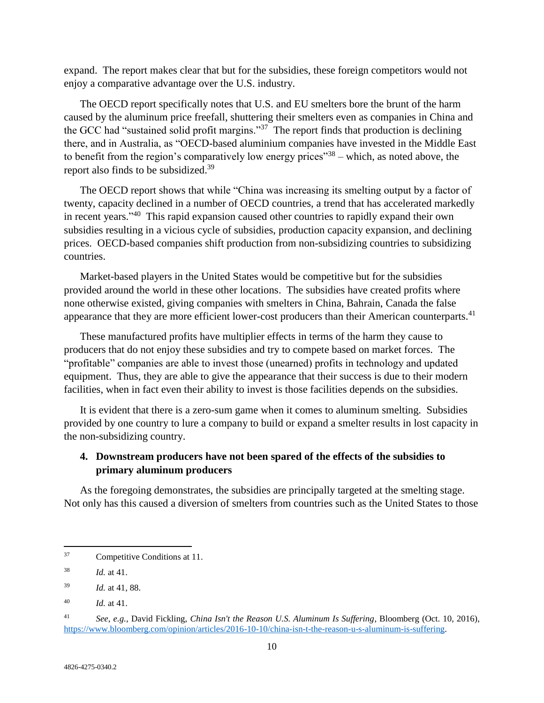expand. The report makes clear that but for the subsidies, these foreign competitors would not enjoy a comparative advantage over the U.S. industry.

The OECD report specifically notes that U.S. and EU smelters bore the brunt of the harm caused by the aluminum price freefall, shuttering their smelters even as companies in China and the GCC had "sustained solid profit margins."<sup>37</sup> The report finds that production is declining there, and in Australia, as "OECD-based aluminium companies have invested in the Middle East to benefit from the region's comparatively low energy prices"<sup>38</sup> – which, as noted above, the report also finds to be subsidized.<sup>39</sup>

The OECD report shows that while "China was increasing its smelting output by a factor of twenty, capacity declined in a number of OECD countries, a trend that has accelerated markedly in recent years."<sup>40</sup> This rapid expansion caused other countries to rapidly expand their own subsidies resulting in a vicious cycle of subsidies, production capacity expansion, and declining prices. OECD-based companies shift production from non-subsidizing countries to subsidizing countries.

Market-based players in the United States would be competitive but for the subsidies provided around the world in these other locations. The subsidies have created profits where none otherwise existed, giving companies with smelters in China, Bahrain, Canada the false appearance that they are more efficient lower-cost producers than their American counterparts.<sup>41</sup>

These manufactured profits have multiplier effects in terms of the harm they cause to producers that do not enjoy these subsidies and try to compete based on market forces. The "profitable" companies are able to invest those (unearned) profits in technology and updated equipment. Thus, they are able to give the appearance that their success is due to their modern facilities, when in fact even their ability to invest is those facilities depends on the subsidies.

It is evident that there is a zero-sum game when it comes to aluminum smelting. Subsidies provided by one country to lure a company to build or expand a smelter results in lost capacity in the non-subsidizing country.

## **4. Downstream producers have not been spared of the effects of the subsidies to primary aluminum producers**

As the foregoing demonstrates, the subsidies are principally targeted at the smelting stage. Not only has this caused a diversion of smelters from countries such as the United States to those

 $\overline{\phantom{a}}$ 

<sup>37</sup> Competitive Conditions at 11.

<sup>38</sup> *Id.* at 41.

<sup>39</sup> *Id.* at 41, 88.

<sup>40</sup> *Id.* at 41.

<sup>41</sup> *See*, *e.g.*, David Fickling, *China Isn't the Reason U.S. Aluminum Is Suffering,* Bloomberg (Oct. 10, 2016), [https://www.bloomberg.com/opinion/articles/2016-10-10/china-isn-t-the-reason-u-s-aluminum-is-suffering.](https://www.bloomberg.com/opinion/articles/2016-10-10/china-isn-t-the-reason-u-s-aluminum-is-suffering)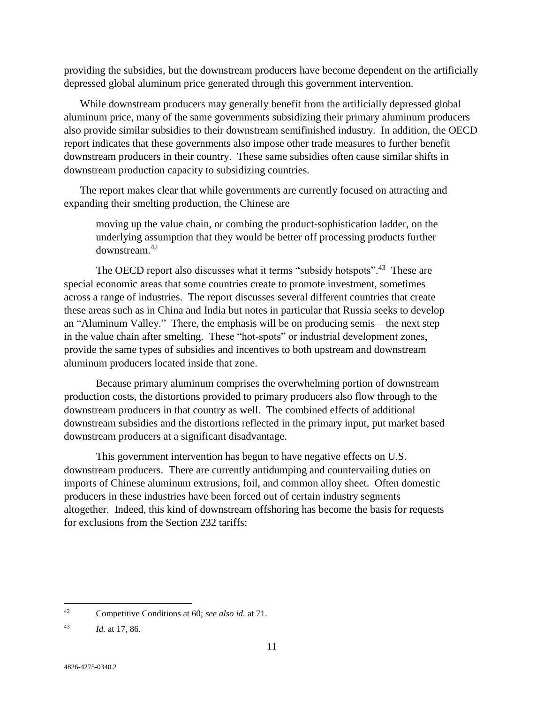providing the subsidies, but the downstream producers have become dependent on the artificially depressed global aluminum price generated through this government intervention.

While downstream producers may generally benefit from the artificially depressed global aluminum price, many of the same governments subsidizing their primary aluminum producers also provide similar subsidies to their downstream semifinished industry. In addition, the OECD report indicates that these governments also impose other trade measures to further benefit downstream producers in their country. These same subsidies often cause similar shifts in downstream production capacity to subsidizing countries.

The report makes clear that while governments are currently focused on attracting and expanding their smelting production, the Chinese are

moving up the value chain, or combing the product-sophistication ladder, on the underlying assumption that they would be better off processing products further downstream.<sup>42</sup>

The OECD report also discusses what it terms "subsidy hotspots".<sup>43</sup> These are special economic areas that some countries create to promote investment, sometimes across a range of industries. The report discusses several different countries that create these areas such as in China and India but notes in particular that Russia seeks to develop an "Aluminum Valley." There, the emphasis will be on producing semis – the next step in the value chain after smelting. These "hot-spots" or industrial development zones, provide the same types of subsidies and incentives to both upstream and downstream aluminum producers located inside that zone.

Because primary aluminum comprises the overwhelming portion of downstream production costs, the distortions provided to primary producers also flow through to the downstream producers in that country as well. The combined effects of additional downstream subsidies and the distortions reflected in the primary input, put market based downstream producers at a significant disadvantage.

This government intervention has begun to have negative effects on U.S. downstream producers. There are currently antidumping and countervailing duties on imports of Chinese aluminum extrusions, foil, and common alloy sheet. Often domestic producers in these industries have been forced out of certain industry segments altogether. Indeed, this kind of downstream offshoring has become the basis for requests for exclusions from the Section 232 tariffs:

 $\overline{a}$ 

<sup>42</sup> Competitive Conditions at 60; *see also id.* at 71.

<sup>43</sup> *Id.* at 17, 86.